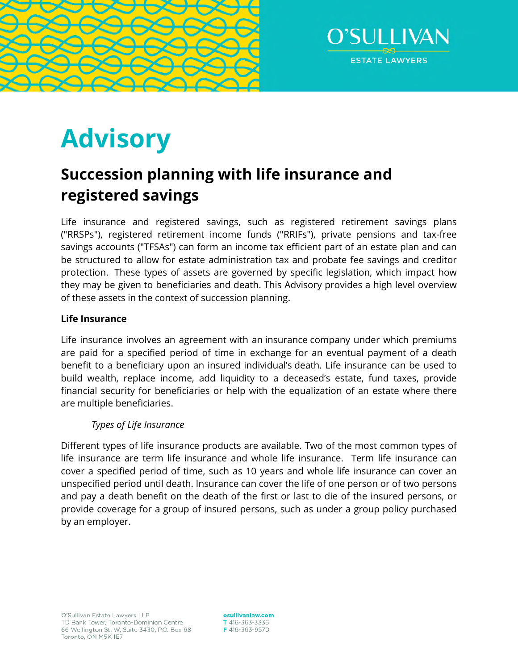



# **Advisory**

# **Succession planning with life insurance and registered savings**

Life insurance and registered savings, such as registered retirement savings plans ("RRSPs"), registered retirement income funds ("RRIFs"), private pensions and tax-free savings accounts ("TFSAs") can form an income tax efficient part of an estate plan and can be structured to allow for estate administration tax and probate fee savings and creditor protection. These types of assets are governed by specific legislation, which impact how they may be given to beneficiaries and death. This Advisory provides a high level overview of these assets in the context of succession planning.

### **Life Insurance**

Life insurance involves an agreement with an insurance company under which premiums are paid for a specified period of time in exchange for an eventual payment of a death benefit to a beneficiary upon an insured individual's death. Life insurance can be used to build wealth, replace income, add liquidity to a deceased's estate, fund taxes, provide financial security for beneficiaries or help with the equalization of an estate where there are multiple beneficiaries.

## *Types of Life Insurance*

Different types of life insurance products are available. Two of the most common types of life insurance are term life insurance and whole life insurance. Term life insurance can cover a specified period of time, such as 10 years and whole life insurance can cover an unspecified period until death. Insurance can cover the life of one person or of two persons and pay a death benefit on the death of the first or last to die of the insured persons, or provide coverage for a group of insured persons, such as under a group policy purchased by an employer.

osullivanlaw.com T 416-363-3336 F 416-363-9570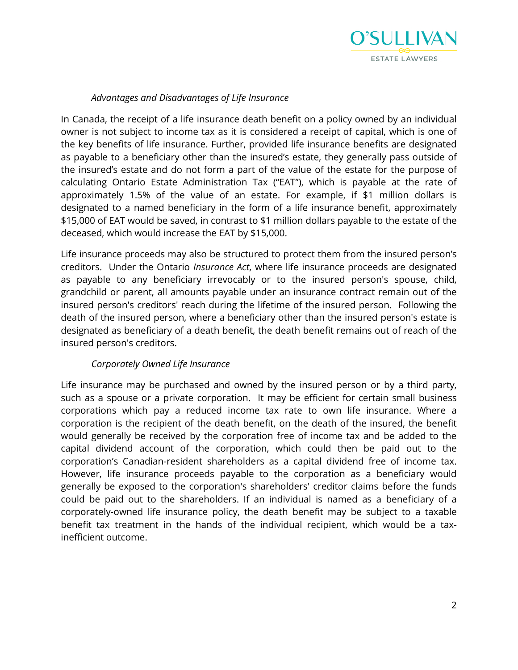

#### *Advantages and Disadvantages of Life Insurance*

In Canada, the receipt of a life insurance death benefit on a policy owned by an individual owner is not subject to income tax as it is considered a receipt of capital, which is one of the key benefits of life insurance. Further, provided life insurance benefits are designated as payable to a beneficiary other than the insured's estate, they generally pass outside of the insured's estate and do not form a part of the value of the estate for the purpose of calculating Ontario Estate Administration Tax ("EAT"), which is payable at the rate of approximately 1.5% of the value of an estate. For example, if \$1 million dollars is designated to a named beneficiary in the form of a life insurance benefit, approximately \$15,000 of EAT would be saved, in contrast to \$1 million dollars payable to the estate of the deceased, which would increase the EAT by \$15,000.

Life insurance proceeds may also be structured to protect them from the insured person's creditors. Under the Ontario *Insurance Act*, where life insurance proceeds are designated as payable to any beneficiary irrevocably or to the insured person's spouse, child, grandchild or parent, all amounts payable under an insurance contract remain out of the insured person's creditors' reach during the lifetime of the insured person. Following the death of the insured person, where a beneficiary other than the insured person's estate is designated as beneficiary of a death benefit, the death benefit remains out of reach of the insured person's creditors.

#### *Corporately Owned Life Insurance*

Life insurance may be purchased and owned by the insured person or by a third party, such as a spouse or a private corporation. It may be efficient for certain small business corporations which pay a reduced income tax rate to own life insurance. Where a corporation is the recipient of the death benefit, on the death of the insured, the benefit would generally be received by the corporation free of income tax and be added to the capital dividend account of the corporation, which could then be paid out to the corporation's Canadian-resident shareholders as a capital dividend free of income tax. However, life insurance proceeds payable to the corporation as a beneficiary would generally be exposed to the corporation's shareholders' creditor claims before the funds could be paid out to the shareholders. If an individual is named as a beneficiary of a corporately-owned life insurance policy, the death benefit may be subject to a taxable benefit tax treatment in the hands of the individual recipient, which would be a taxinefficient outcome.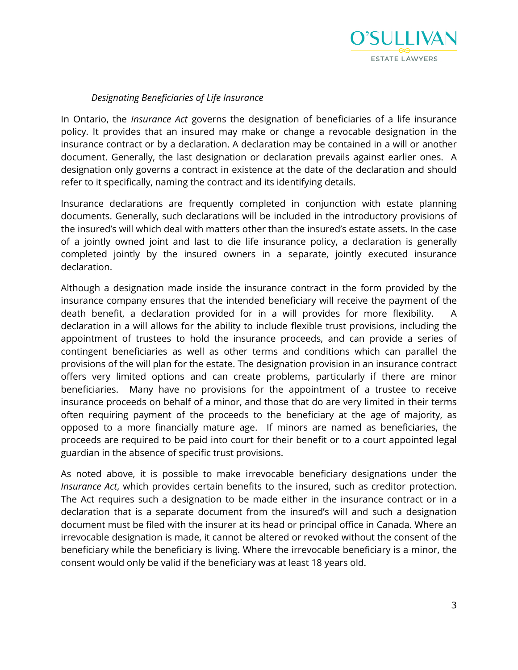

#### *Designating Beneficiaries of Life Insurance*

In Ontario, the *Insurance Act* governs the designation of beneficiaries of a life insurance policy. It provides that an insured may make or change a revocable designation in the insurance contract or by a declaration. A declaration may be contained in a will or another document. Generally, the last designation or declaration prevails against earlier ones. A designation only governs a contract in existence at the date of the declaration and should refer to it specifically, naming the contract and its identifying details.

Insurance declarations are frequently completed in conjunction with estate planning documents. Generally, such declarations will be included in the introductory provisions of the insured's will which deal with matters other than the insured's estate assets. In the case of a jointly owned joint and last to die life insurance policy, a declaration is generally completed jointly by the insured owners in a separate, jointly executed insurance declaration.

Although a designation made inside the insurance contract in the form provided by the insurance company ensures that the intended beneficiary will receive the payment of the death benefit, a declaration provided for in a will provides for more flexibility. A declaration in a will allows for the ability to include flexible trust provisions, including the appointment of trustees to hold the insurance proceeds, and can provide a series of contingent beneficiaries as well as other terms and conditions which can parallel the provisions of the will plan for the estate. The designation provision in an insurance contract offers very limited options and can create problems, particularly if there are minor beneficiaries. Many have no provisions for the appointment of a trustee to receive insurance proceeds on behalf of a minor, and those that do are very limited in their terms often requiring payment of the proceeds to the beneficiary at the age of majority, as opposed to a more financially mature age. If minors are named as beneficiaries, the proceeds are required to be paid into court for their benefit or to a court appointed legal guardian in the absence of specific trust provisions.

As noted above, it is possible to make irrevocable beneficiary designations under the *Insurance Act*, which provides certain benefits to the insured, such as creditor protection. The Act requires such a designation to be made either in the insurance contract or in a declaration that is a separate document from the insured's will and such a designation document must be filed with the insurer at its head or principal office in Canada. Where an irrevocable designation is made, it cannot be altered or revoked without the consent of the beneficiary while the beneficiary is living. Where the irrevocable beneficiary is a minor, the consent would only be valid if the beneficiary was at least 18 years old.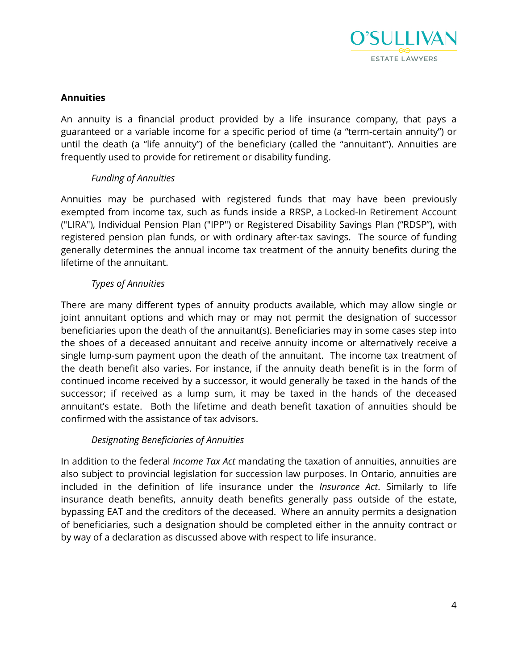

#### **Annuities**

An annuity is a financial product provided by a life insurance company, that pays a guaranteed or a variable income for a specific period of time (a "term-certain annuity") or until the death (a "life annuity") of the beneficiary (called the "annuitant"). Annuities are frequently used to provide for retirement or disability funding.

### *Funding of Annuities*

Annuities may be purchased with registered funds that may have been previously exempted from income tax, such as funds inside a RRSP, a Locked-In Retirement Account ("LIRA"), Individual Pension Plan ("IPP") or Registered Disability Savings Plan ("RDSP"), with registered pension plan funds, or with ordinary after-tax savings. The source of funding generally determines the annual income tax treatment of the annuity benefits during the lifetime of the annuitant.

### *Types of Annuities*

There are many different types of annuity products available, which may allow single or joint annuitant options and which may or may not permit the designation of successor beneficiaries upon the death of the annuitant(s). Beneficiaries may in some cases step into the shoes of a deceased annuitant and receive annuity income or alternatively receive a single lump-sum payment upon the death of the annuitant. The income tax treatment of the death benefit also varies. For instance, if the annuity death benefit is in the form of continued income received by a successor, it would generally be taxed in the hands of the successor; if received as a lump sum, it may be taxed in the hands of the deceased annuitant's estate. Both the lifetime and death benefit taxation of annuities should be confirmed with the assistance of tax advisors.

#### *Designating Beneficiaries of Annuities*

In addition to the federal *Income Tax Act* mandating the taxation of annuities, annuities are also subject to provincial legislation for succession law purposes. In Ontario, annuities are included in the definition of life insurance under the *Insurance Act*. Similarly to life insurance death benefits, annuity death benefits generally pass outside of the estate, bypassing EAT and the creditors of the deceased. Where an annuity permits a designation of beneficiaries, such a designation should be completed either in the annuity contract or by way of a declaration as discussed above with respect to life insurance.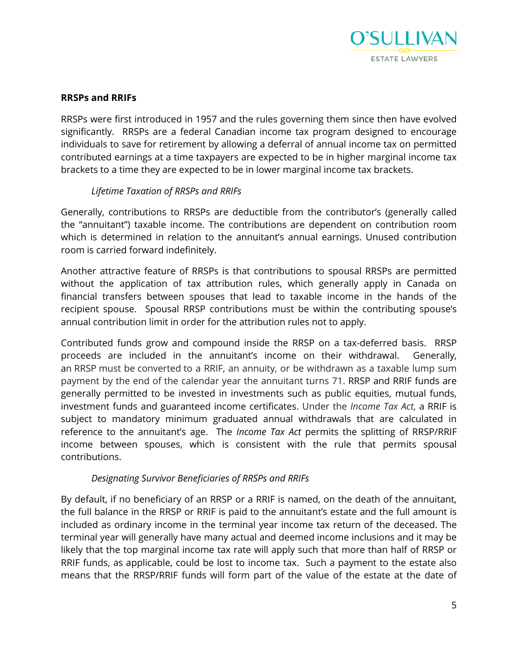

#### **RRSPs and RRIFs**

RRSPs were first introduced in 1957 and the rules governing them since then have evolved significantly. RRSPs are a federal Canadian income tax program designed to encourage individuals to save for retirement by allowing a deferral of annual income tax on permitted contributed earnings at a time taxpayers are expected to be in higher marginal income tax brackets to a time they are expected to be in lower marginal income tax brackets.

### *Lifetime Taxation of RRSPs and RRIFs*

Generally, contributions to RRSPs are deductible from the contributor's (generally called the "annuitant") taxable income. The contributions are dependent on contribution room which is determined in relation to the annuitant's annual earnings. Unused contribution room is carried forward indefinitely.

Another attractive feature of RRSPs is that contributions to spousal RRSPs are permitted without the application of tax attribution rules, which generally apply in Canada on financial transfers between spouses that lead to taxable income in the hands of the recipient spouse. Spousal RRSP contributions must be within the contributing spouse's annual contribution limit in order for the attribution rules not to apply.

Contributed funds grow and compound inside the RRSP on a tax-deferred basis. RRSP proceeds are included in the annuitant's income on their withdrawal. Generally, an RRSP must be converted to a RRIF, an annuity, or be withdrawn as a taxable lump sum payment by the end of the calendar year the annuitant turns 71. RRSP and RRIF funds are generally permitted to be invested in investments such as public equities, mutual funds, investment funds and guaranteed income certificates. Under the *Income Tax Act*, a RRIF is subject to mandatory minimum graduated annual withdrawals that are calculated in reference to the annuitant's age. The *Income Tax Act* permits the splitting of RRSP/RRIF income between spouses, which is consistent with the rule that permits spousal contributions.

#### *Designating Survivor Beneficiaries of RRSPs and RRIFs*

By default, if no beneficiary of an RRSP or a RRIF is named, on the death of the annuitant, the full balance in the RRSP or RRIF is paid to the annuitant's estate and the full amount is included as ordinary income in the terminal year income tax return of the deceased. The terminal year will generally have many actual and deemed income inclusions and it may be likely that the top marginal income tax rate will apply such that more than half of RRSP or RRIF funds, as applicable, could be lost to income tax. Such a payment to the estate also means that the RRSP/RRIF funds will form part of the value of the estate at the date of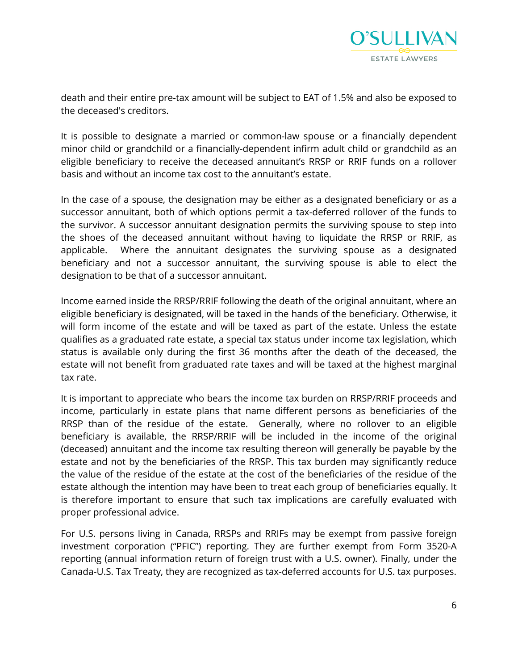

death and their entire pre-tax amount will be subject to EAT of 1.5% and also be exposed to the deceased's creditors.

It is possible to designate a married or common-law spouse or a financially dependent minor child or grandchild or a financially-dependent infirm adult child or grandchild as an eligible beneficiary to receive the deceased annuitant's RRSP or RRIF funds on a rollover basis and without an income tax cost to the annuitant's estate.

In the case of a spouse, the designation may be either as a designated beneficiary or as a successor annuitant, both of which options permit a tax-deferred rollover of the funds to the survivor. A successor annuitant designation permits the surviving spouse to step into the shoes of the deceased annuitant without having to liquidate the RRSP or RRIF, as applicable. Where the annuitant designates the surviving spouse as a designated beneficiary and not a successor annuitant, the surviving spouse is able to elect the designation to be that of a successor annuitant.

Income earned inside the RRSP/RRIF following the death of the original annuitant, where an eligible beneficiary is designated, will be taxed in the hands of the beneficiary. Otherwise, it will form income of the estate and will be taxed as part of the estate. Unless the estate qualifies as a graduated rate estate, a special tax status under income tax legislation, which status is available only during the first 36 months after the death of the deceased, the estate will not benefit from graduated rate taxes and will be taxed at the highest marginal tax rate.

It is important to appreciate who bears the income tax burden on RRSP/RRIF proceeds and income, particularly in estate plans that name different persons as beneficiaries of the RRSP than of the residue of the estate. Generally, where no rollover to an eligible beneficiary is available, the RRSP/RRIF will be included in the income of the original (deceased) annuitant and the income tax resulting thereon will generally be payable by the estate and not by the beneficiaries of the RRSP. This tax burden may significantly reduce the value of the residue of the estate at the cost of the beneficiaries of the residue of the estate although the intention may have been to treat each group of beneficiaries equally. It is therefore important to ensure that such tax implications are carefully evaluated with proper professional advice.

For U.S. persons living in Canada, RRSPs and RRIFs may be exempt from passive foreign investment corporation ("PFIC") reporting. They are further exempt from Form 3520-A reporting (annual information return of foreign trust with a U.S. owner). Finally, under the Canada-U.S. Tax Treaty, they are recognized as tax-deferred accounts for U.S. tax purposes.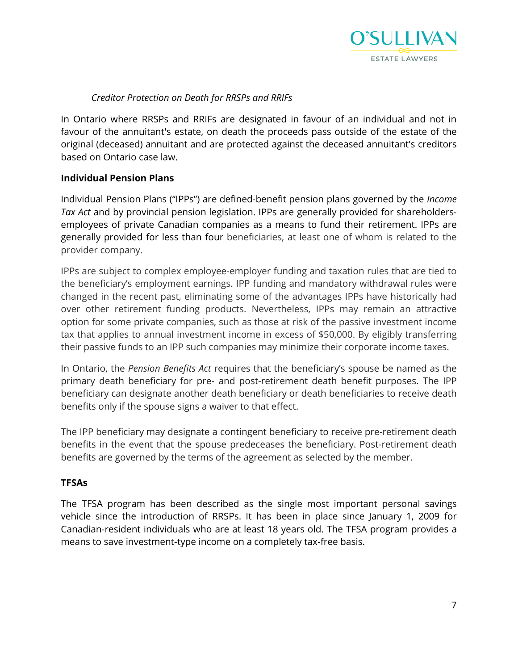

#### *Creditor Protection on Death for RRSPs and RRIFs*

In Ontario where RRSPs and RRIFs are designated in favour of an individual and not in favour of the annuitant's estate, on death the proceeds pass outside of the estate of the original (deceased) annuitant and are protected against the deceased annuitant's creditors based on Ontario case law.

#### **Individual Pension Plans**

Individual Pension Plans ("IPPs") are defined-benefit pension plans governed by the *Income Tax Act* and by provincial pension legislation. IPPs are generally provided for shareholdersemployees of private Canadian companies as a means to fund their retirement. IPPs are generally provided for less than four beneficiaries, at least one of whom is related to the provider company.

IPPs are subject to complex employee-employer funding and taxation rules that are tied to the beneficiary's employment earnings. IPP funding and mandatory withdrawal rules were changed in the recent past, eliminating some of the advantages IPPs have historically had over other retirement funding products. Nevertheless, IPPs may remain an attractive option for some private companies, such as those at risk of the passive investment income tax that applies to annual investment income in excess of \$50,000. By eligibly transferring their passive funds to an IPP such companies may minimize their corporate income taxes.

In Ontario, the *Pension Benefits Act* requires that the beneficiary's spouse be named as the primary death beneficiary for pre- and post-retirement death benefit purposes. The IPP beneficiary can designate another death beneficiary or death beneficiaries to receive death benefits only if the spouse signs a waiver to that effect.

The IPP beneficiary may designate a contingent beneficiary to receive pre-retirement death benefits in the event that the spouse predeceases the beneficiary. Post-retirement death benefits are governed by the terms of the agreement as selected by the member.

#### **TFSAs**

The TFSA program has been described as the single most important personal savings vehicle since the introduction of RRSPs. It has been in place since January 1, 2009 for Canadian-resident individuals who are at least 18 years old. The TFSA program provides a means to save investment-type income on a completely tax-free basis.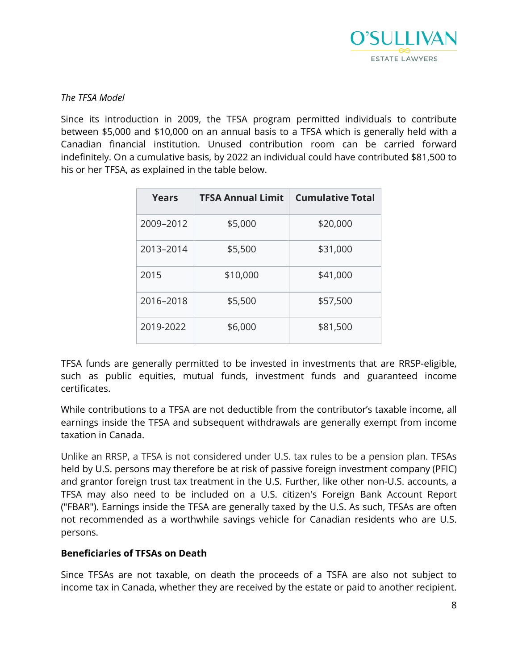

#### *The TFSA Model*

Since its introduction in 2009, the TFSA program permitted individuals to contribute between \$5,000 and \$10,000 on an annual basis to a TFSA which is generally held with a Canadian financial institution. Unused contribution room can be carried forward indefinitely. On a cumulative basis, by 2022 an individual could have contributed \$81,500 to his or her TFSA, as explained in the table below.

| Years     | <b>TFSA Annual Limit</b> | <b>Cumulative Total</b> |
|-----------|--------------------------|-------------------------|
| 2009-2012 | \$5,000                  | \$20,000                |
| 2013-2014 | \$5,500                  | \$31,000                |
| 2015      | \$10,000                 | \$41,000                |
| 2016-2018 | \$5,500                  | \$57,500                |
| 2019-2022 | \$6,000                  | \$81,500                |

TFSA funds are generally permitted to be invested in investments that are RRSP-eligible, such as public equities, mutual funds, investment funds and guaranteed income certificates.

While contributions to a TFSA are not deductible from the contributor's taxable income, all earnings inside the TFSA and subsequent withdrawals are generally exempt from income taxation in Canada.

Unlike an RRSP, a TFSA is not considered under U.S. tax rules to be a pension plan. TFSAs held by U.S. persons may therefore be at risk of [passive foreign investment company](https://en.wikipedia.org/wiki/Passive_foreign_investment_company) (PFIC) and grantor foreign trust tax treatment in the U.S. Further, like other non-U.S. accounts, a TFSA may also need to be included on a U.S. citizen's Foreign Bank Account Report ("FBAR"). Earnings inside the TFSA are generally taxed by the U.S. As such, TFSAs are often not recommended as a worthwhile savings vehicle for Canadian residents who are U.S. persons.

#### **Beneficiaries of TFSAs on Death**

Since TFSAs are not taxable, on death the proceeds of a TSFA are also not subject to income tax in Canada, whether they are received by the estate or paid to another recipient.